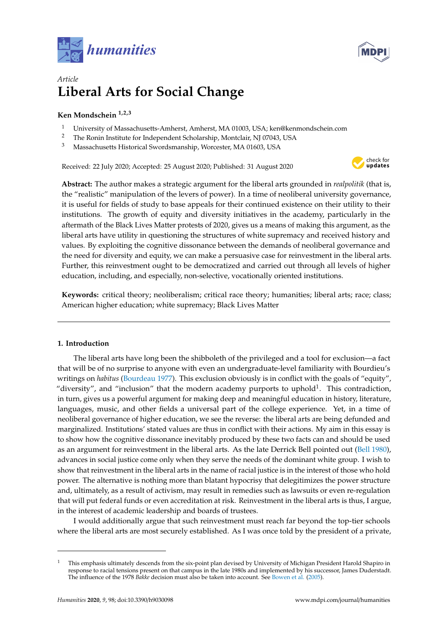



# *Article* **Liberal Arts for Social Change**

## **Ken Mondschein 1,2,3**

- <sup>1</sup> University of Massachusetts-Amherst, Amherst, MA 01003, USA; ken@kenmondschein.com
- <sup>2</sup> The Ronin Institute for Independent Scholarship, Montclair, NJ 07043, USA
- <sup>3</sup> Massachusetts Historical Swordsmanship, Worcester, MA 01603, USA

Received: 22 July 2020; Accepted: 25 August 2020; Published: 31 August 2020



**Abstract:** The author makes a strategic argument for the liberal arts grounded in *realpolitik* (that is, the "realistic" manipulation of the levers of power). In a time of neoliberal university governance, it is useful for fields of study to base appeals for their continued existence on their utility to their institutions. The growth of equity and diversity initiatives in the academy, particularly in the aftermath of the Black Lives Matter protests of 2020, gives us a means of making this argument, as the liberal arts have utility in questioning the structures of white supremacy and received history and values. By exploiting the cognitive dissonance between the demands of neoliberal governance and the need for diversity and equity, we can make a persuasive case for reinvestment in the liberal arts. Further, this reinvestment ought to be democratized and carried out through all levels of higher education, including, and especially, non-selective, vocationally oriented institutions.

**Keywords:** critical theory; neoliberalism; critical race theory; humanities; liberal arts; race; class; American higher education; white supremacy; Black Lives Matter

## **1. Introduction**

The liberal arts have long been the shibboleth of the privileged and a tool for exclusion—a fact that will be of no surprise to anyone with even an undergraduate-level familiarity with Bourdieu's writings on *habitus* [\(Bourdeau](#page-12-0) [1977\)](#page-12-0). This exclusion obviously is in conflict with the goals of "equity", "diversity", and "inclusion" that the modern academy purports to uphold<sup>1</sup>. This contradiction, in turn, gives us a powerful argument for making deep and meaningful education in history, literature, languages, music, and other fields a universal part of the college experience. Yet, in a time of neoliberal governance of higher education, we see the reverse: the liberal arts are being defunded and marginalized. Institutions' stated values are thus in conflict with their actions. My aim in this essay is to show how the cognitive dissonance inevitably produced by these two facts can and should be used as an argument for reinvestment in the liberal arts. As the late Derrick Bell pointed out [\(Bell](#page-11-0) [1980\)](#page-11-0), advances in social justice come only when they serve the needs of the dominant white group. I wish to show that reinvestment in the liberal arts in the name of racial justice is in the interest of those who hold power. The alternative is nothing more than blatant hypocrisy that delegitimizes the power structure and, ultimately, as a result of activism, may result in remedies such as lawsuits or even re-regulation that will put federal funds or even accreditation at risk. Reinvestment in the liberal arts is thus, I argue, in the interest of academic leadership and boards of trustees.

I would additionally argue that such reinvestment must reach far beyond the top-tier schools where the liberal arts are most securely established. As I was once told by the president of a private,

<sup>1</sup> This emphasis ultimately descends from the six-point plan devised by University of Michigan President Harold Shapiro in response to racial tensions present on that campus in the late 1980s and implemented by his successor, James Duderstadt. The influence of the 1978 *Bakke* decision must also be taken into account. See [Bowen et al.](#page-12-1) [\(2005\)](#page-12-1).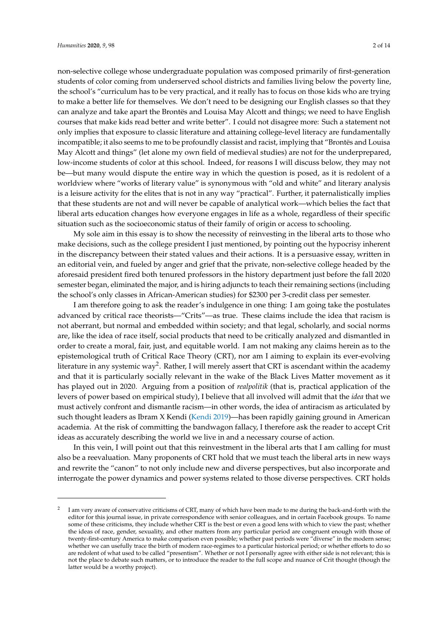non-selective college whose undergraduate population was composed primarily of first-generation students of color coming from underserved school districts and families living below the poverty line, the school's "curriculum has to be very practical, and it really has to focus on those kids who are trying to make a better life for themselves. We don't need to be designing our English classes so that they can analyze and take apart the Brontës and Louisa May Alcott and things; we need to have English courses that make kids read better and write better". I could not disagree more: Such a statement not only implies that exposure to classic literature and attaining college-level literacy are fundamentally incompatible; it also seems to me to be profoundly classist and racist, implying that "Brontës and Louisa May Alcott and things" (let alone my own field of medieval studies) are not for the underprepared, low-income students of color at this school. Indeed, for reasons I will discuss below, they may not be—but many would dispute the entire way in which the question is posed, as it is redolent of a worldview where "works of literary value" is synonymous with "old and white" and literary analysis is a leisure activity for the elites that is not in any way "practical". Further, it paternalistically implies that these students are not and will never be capable of analytical work—which belies the fact that liberal arts education changes how everyone engages in life as a whole, regardless of their specific situation such as the socioeconomic status of their family of origin or access to schooling.

My sole aim in this essay is to show the necessity of reinvesting in the liberal arts to those who make decisions, such as the college president I just mentioned, by pointing out the hypocrisy inherent in the discrepancy between their stated values and their actions. It is a persuasive essay, written in an editorial vein, and fueled by anger and grief that the private, non-selective college headed by the aforesaid president fired both tenured professors in the history department just before the fall 2020 semester began, eliminated the major, and is hiring adjuncts to teach their remaining sections (including the school's only classes in African-American studies) for \$2300 per 3-credit class per semester.

I am therefore going to ask the reader's indulgence in one thing: I am going take the postulates advanced by critical race theorists—"Crits"—as true. These claims include the idea that racism is not aberrant, but normal and embedded within society; and that legal, scholarly, and social norms are, like the idea of race itself, social products that need to be critically analyzed and dismantled in order to create a moral, fair, just, and equitable world. I am not making any claims herein as to the epistemological truth of Critical Race Theory (CRT), nor am I aiming to explain its ever-evolving literature in any systemic way<sup>2</sup>. Rather, I will merely assert that CRT is ascendant within the academy and that it is particularly socially relevant in the wake of the Black Lives Matter movement as it has played out in 2020. Arguing from a position of *realpolitik* (that is, practical application of the levers of power based on empirical study), I believe that all involved will admit that the *idea* that we must actively confront and dismantle racism—in other words, the idea of antiracism as articulated by such thought leaders as Ibram X Kendi [\(Kendi](#page-12-2) [2019\)](#page-12-2)—has been rapidly gaining ground in American academia. At the risk of committing the bandwagon fallacy, I therefore ask the reader to accept Crit ideas as accurately describing the world we live in and a necessary course of action.

In this vein, I will point out that this reinvestment in the liberal arts that I am calling for must also be a reevaluation. Many proponents of CRT hold that we must teach the liberal arts in new ways and rewrite the "canon" to not only include new and diverse perspectives, but also incorporate and interrogate the power dynamics and power systems related to those diverse perspectives. CRT holds

<sup>2</sup> I am very aware of conservative criticisms of CRT, many of which have been made to me during the back-and-forth with the editor for this journal issue, in private correspondence with senior colleagues, and in certain Facebook groups. To name some of these criticisms, they include whether CRT is the best or even a good lens with which to view the past; whether the ideas of race, gender, sexuality, and other matters from any particular period are congruent enough with those of twenty-first-century America to make comparison even possible; whether past periods were "diverse" in the modern sense; whether we can usefully trace the birth of modern race-regimes to a particular historical period; or whether efforts to do so are redolent of what used to be called "presentism". Whether or not I personally agree with either side is not relevant; this is not the place to debate such matters, or to introduce the reader to the full scope and nuance of Crit thought (though the latter would be a worthy project).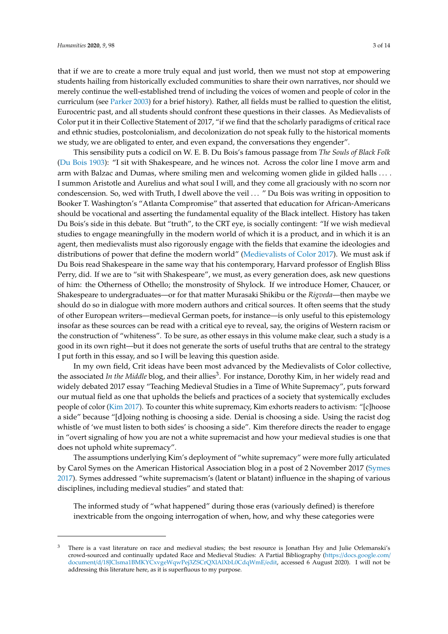that if we are to create a more truly equal and just world, then we must not stop at empowering students hailing from historically excluded communities to share their own narratives, nor should we merely continue the well-established trend of including the voices of women and people of color in the curriculum (see [Parker](#page-12-3) [2003\)](#page-12-3) for a brief history). Rather, all fields must be rallied to question the elitist, Eurocentric past, and all students should confront these questions in their classes. As Medievalists of Color put it in their Collective Statement of 2017, "if we find that the scholarly paradigms of critical race and ethnic studies, postcolonialism, and decolonization do not speak fully to the historical moments we study, we are obligated to enter, and even expand, the conversations they engender".

This sensibility puts a codicil on W. E. B. Du Bois's famous passage from *The Souls of Black Folk* [\(Du Bois](#page-12-4) [1903\)](#page-12-4): "I sit with Shakespeare, and he winces not. Across the color line I move arm and arm with Balzac and Dumas, where smiling men and welcoming women glide in gilded halls .... I summon Aristotle and Aurelius and what soul I will, and they come all graciously with no scorn nor condescension. So, wed with Truth, I dwell above the veil . . . " Du Bois was writing in opposition to Booker T. Washington's "Atlanta Compromise" that asserted that education for African-Americans should be vocational and asserting the fundamental equality of the Black intellect. History has taken Du Bois's side in this debate. But "truth", to the CRT eye, is socially contingent: "If we wish medieval studies to engage meaningfully in the modern world of which it is a product, and in which it is an agent, then medievalists must also rigorously engage with the fields that examine the ideologies and distributions of power that define the modern world" [\(Medievalists of Color](#page-12-5) [2017\)](#page-12-5). We must ask if Du Bois read Shakespeare in the same way that his contemporary, Harvard professor of English Bliss Perry, did. If we are to "sit with Shakespeare", we must, as every generation does, ask new questions of him: the Otherness of Othello; the monstrosity of Shylock. If we introduce Homer, Chaucer, or Shakespeare to undergraduates—or for that matter Murasaki Shikibu or the *Rigveda*—then maybe we should do so in dialogue with more modern authors and critical sources. It often seems that the study of other European writers—medieval German poets, for instance—is only useful to this epistemology insofar as these sources can be read with a critical eye to reveal, say, the origins of Western racism or the construction of "whiteness". To be sure, as other essays in this volume make clear, such a study is a good in its own right—but it does not generate the sorts of useful truths that are central to the strategy I put forth in this essay, and so I will be leaving this question aside.

In my own field, Crit ideas have been most advanced by the Medievalists of Color collective, the associated *In the Middle* blog, and their allies<sup>3</sup>. For instance, Dorothy Kim, in her widely read and widely debated 2017 essay "Teaching Medieval Studies in a Time of White Supremacy", puts forward our mutual field as one that upholds the beliefs and practices of a society that systemically excludes people of color [\(Kim](#page-12-6) [2017\)](#page-12-6). To counter this white supremacy, Kim exhorts readers to activism: "[c]hoose a side" because "[d]oing nothing is choosing a side. Denial is choosing a side. Using the racist dog whistle of 'we must listen to both sides' is choosing a side". Kim therefore directs the reader to engage in "overt signaling of how you are not a white supremacist and how your medieval studies is one that does not uphold white supremacy".

The assumptions underlying Kim's deployment of "white supremacy" were more fully articulated by Carol Symes on the American Historical Association blog in a post of 2 November 2017 [\(Symes](#page-13-0) [2017\)](#page-13-0). Symes addressed "white supremacism's (latent or blatant) influence in the shaping of various disciplines, including medieval studies" and stated that:

The informed study of "what happened" during those eras (variously defined) is therefore inextricable from the ongoing interrogation of when, how, and why these categories were

<sup>&</sup>lt;sup>3</sup> There is a vast literature on race and medieval studies; the best resource is Jonathan Hsy and Julie Orlemanski's crowd-sourced and continually updated Race and Medieval Studies: A Partial Bibliography (https://[docs.google.com](https://docs.google.com/document/d/18JClsma1BMKYCxvgeWqwPej3ZSCrQXlAlXbL0CdqWmE/edit)/ document/d/[18JClsma1BMKYCxvgeWqwPej3ZSCrQXlAlXbL0CdqWmE](https://docs.google.com/document/d/18JClsma1BMKYCxvgeWqwPej3ZSCrQXlAlXbL0CdqWmE/edit)/edit, accessed 6 August 2020). I will not be addressing this literature here, as it is superfluous to my purpose.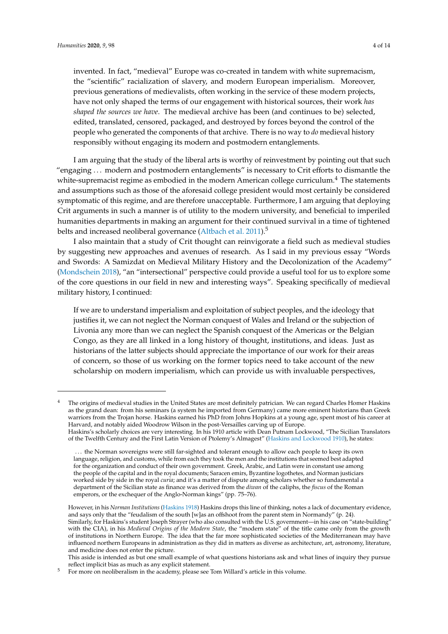invented. In fact, "medieval" Europe was co-created in tandem with white supremacism, the "scientific" racialization of slavery, and modern European imperialism. Moreover, previous generations of medievalists, often working in the service of these modern projects, have not only shaped the terms of our engagement with historical sources, their work *has shaped the sources we have*. The medieval archive has been (and continues to be) selected, edited, translated, censored, packaged, and destroyed by forces beyond the control of the people who generated the components of that archive. There is no way to *do* medieval history responsibly without engaging its modern and postmodern entanglements.

I am arguing that the study of the liberal arts is worthy of reinvestment by pointing out that such "engaging . . . modern and postmodern entanglements" is necessary to Crit efforts to dismantle the white-supremacist regime as embodied in the modern American college curriculum.<sup>4</sup> The statements and assumptions such as those of the aforesaid college president would most certainly be considered symptomatic of this regime, and are therefore unacceptable. Furthermore, I am arguing that deploying Crit arguments in such a manner is of utility to the modern university, and beneficial to imperiled humanities departments in making an argument for their continued survival in a time of tightened belts and increased neoliberal governance [\(Altbach et al.](#page-11-1) [2011\)](#page-11-1).<sup>5</sup>

I also maintain that a study of Crit thought can reinvigorate a field such as medieval studies by suggesting new approaches and avenues of research. As I said in my previous essay "Words and Swords: A Samizdat on Medieval Military History and the Decolonization of the Academy" [\(Mondschein](#page-12-7) [2018\)](#page-12-7), "an "intersectional" perspective could provide a useful tool for us to explore some of the core questions in our field in new and interesting ways". Speaking specifically of medieval military history, I continued:

If we are to understand imperialism and exploitation of subject peoples, and the ideology that justifies it, we can not neglect the Norman conquest of Wales and Ireland or the subjection of Livonia any more than we can neglect the Spanish conquest of the Americas or the Belgian Congo, as they are all linked in a long history of thought, institutions, and ideas. Just as historians of the latter subjects should appreciate the importance of our work for their areas of concern, so those of us working on the former topics need to take account of the new scholarship on modern imperialism, which can provide us with invaluable perspectives,

<sup>4</sup> The origins of medieval studies in the United States are most definitely patrician. We can regard Charles Homer Haskins as the grand dean: from his seminars (a system he imported from Germany) came more eminent historians than Greek warriors from the Trojan horse. Haskins earned his PhD from Johns Hopkins at a young age, spent most of his career at Harvard, and notably aided Woodrow Wilson in the post-Versailles carving up of Europe.

Haskins's scholarly choices are very interesting. In his 1910 article with Dean Putnam Lockwood, "The Sicilian Translators of the Twelfth Century and the First Latin Version of Ptolemy's Almagest" [\(Haskins and Lockwood](#page-12-8) [1910\)](#page-12-8), he states:

<sup>. . .</sup> the Norman sovereigns were still far-sighted and tolerant enough to allow each people to keep its own language, religion, and customs, while from each they took the men and the institutions that seemed best adapted for the organization and conduct of their own government. Greek, Arabic, and Latin were in constant use among the people of the capital and in the royal documents; Saracen emirs, Byzantine logothetes, and Norman justiciars worked side by side in the royal *curia*; and it's a matter of dispute among scholars whether so fundamental a department of the Sicilian state as finance was derived from the *diwan* of the caliphs, the *fiscus* of the Roman emperors, or the exchequer of the Anglo-Norman kings" (pp. 75–76).

However, in his *Norman Institutions* [\(Haskins](#page-12-9) [1918\)](#page-12-9) Haskins drops this line of thinking, notes a lack of documentary evidence, and says only that the "feudalism of the south [w]as an offshoot from the parent stem in Normandy" (p. 24). Similarly, for Haskins's student Joseph Strayer (who also consulted with the U.S. government—in his case on "state-building" with the CIA), in his *Medieval Origins of the Modern State*, the "modern state" of the title came only from the growth of institutions in Northern Europe. The idea that the far more sophisticated societies of the Mediterranean may have influenced northern Europeans in administration as they did in matters as diverse as architecture, art, astronomy, literature, and medicine does not enter the picture.

This aside is intended as but one small example of what questions historians ask and what lines of inquiry they pursue reflect implicit bias as much as any explicit statement.

<sup>5</sup> For more on neoliberalism in the academy, please see Tom Willard's article in this volume.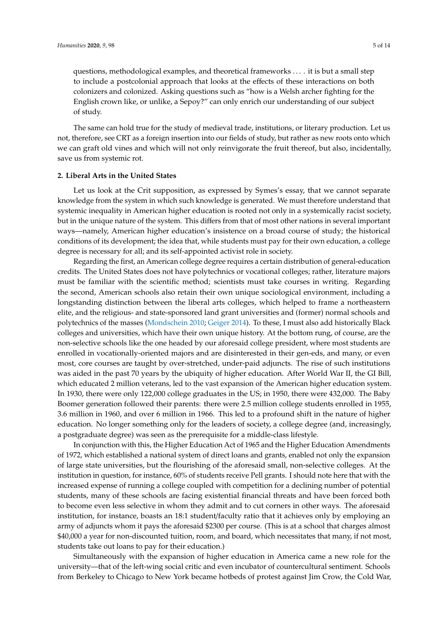questions, methodological examples, and theoretical frameworks . . . . it is but a small step to include a postcolonial approach that looks at the effects of these interactions on both colonizers and colonized. Asking questions such as "how is a Welsh archer fighting for the English crown like, or unlike, a Sepoy?" can only enrich our understanding of our subject of study.

The same can hold true for the study of medieval trade, institutions, or literary production. Let us not, therefore, see CRT as a foreign insertion into our fields of study, but rather as new roots onto which we can graft old vines and which will not only reinvigorate the fruit thereof, but also, incidentally, save us from systemic rot.

### **2. Liberal Arts in the United States**

Let us look at the Crit supposition, as expressed by Symes's essay, that we cannot separate knowledge from the system in which such knowledge is generated. We must therefore understand that systemic inequality in American higher education is rooted not only in a systemically racist society, but in the unique nature of the system. This differs from that of most other nations in several important ways—namely, American higher education's insistence on a broad course of study; the historical conditions of its development; the idea that, while students must pay for their own education, a college degree is necessary for all; and its self-appointed activist role in society.

Regarding the first, an American college degree requires a certain distribution of general-education credits. The United States does not have polytechnics or vocational colleges; rather, literature majors must be familiar with the scientific method; scientists must take courses in writing. Regarding the second, American schools also retain their own unique sociological environment, including a longstanding distinction between the liberal arts colleges, which helped to frame a northeastern elite, and the religious- and state-sponsored land grant universities and (former) normal schools and polytechnics of the masses [\(Mondschein](#page-12-10) [2010;](#page-12-10) [Geiger](#page-12-11) [2014\)](#page-12-11). To these, I must also add historically Black colleges and universities, which have their own unique history. At the bottom rung, of course, are the non-selective schools like the one headed by our aforesaid college president, where most students are enrolled in vocationally-oriented majors and are disinterested in their gen-eds, and many, or even most, core courses are taught by over-stretched, under-paid adjuncts. The rise of such institutions was aided in the past 70 years by the ubiquity of higher education. After World War II, the GI Bill, which educated 2 million veterans, led to the vast expansion of the American higher education system. In 1930, there were only 122,000 college graduates in the US; in 1950, there were 432,000. The Baby Boomer generation followed their parents: there were 2.5 million college students enrolled in 1955, 3.6 million in 1960, and over 6 million in 1966. This led to a profound shift in the nature of higher education. No longer something only for the leaders of society, a college degree (and, increasingly, a postgraduate degree) was seen as the prerequisite for a middle-class lifestyle.

In conjunction with this, the Higher Education Act of 1965 and the Higher Education Amendments of 1972, which established a national system of direct loans and grants, enabled not only the expansion of large state universities, but the flourishing of the aforesaid small, non-selective colleges. At the institution in question, for instance, 60% of students receive Pell grants. I should note here that with the increased expense of running a college coupled with competition for a declining number of potential students, many of these schools are facing existential financial threats and have been forced both to become even less selective in whom they admit and to cut corners in other ways. The aforesaid institution, for instance, boasts an 18:1 student/faculty ratio that it achieves only by employing an army of adjuncts whom it pays the aforesaid \$2300 per course. (This is at a school that charges almost \$40,000 a year for non-discounted tuition, room, and board, which necessitates that many, if not most, students take out loans to pay for their education.)

Simultaneously with the expansion of higher education in America came a new role for the university—that of the left-wing social critic and even incubator of countercultural sentiment. Schools from Berkeley to Chicago to New York became hotbeds of protest against Jim Crow, the Cold War,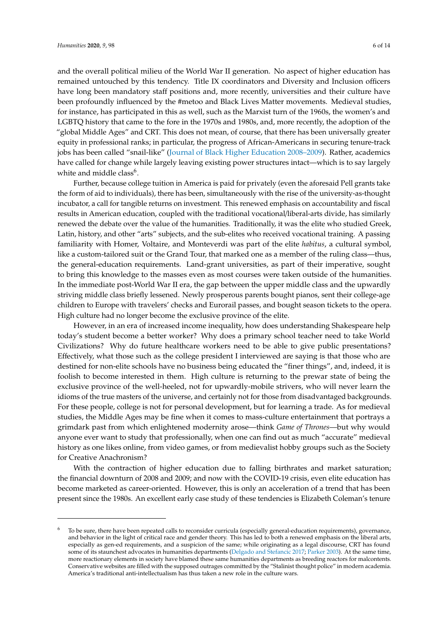and the overall political milieu of the World War II generation. No aspect of higher education has remained untouched by this tendency. Title IX coordinators and Diversity and Inclusion officers have long been mandatory staff positions and, more recently, universities and their culture have been profoundly influenced by the #metoo and Black Lives Matter movements. Medieval studies, for instance, has participated in this as well, such as the Marxist turn of the 1960s, the women's and LGBTQ history that came to the fore in the 1970s and 1980s, and, more recently, the adoption of the "global Middle Ages" and CRT. This does not mean, of course, that there has been universally greater equity in professional ranks; in particular, the progress of African-Americans in securing tenure-track jobs has been called "snail-like" [\(Journal of Black Higher Education](#page-12-12) [2008–2009\)](#page-12-12). Rather, academics have called for change while largely leaving existing power structures intact—which is to say largely white and middle class<sup>6</sup>.

Further, because college tuition in America is paid for privately (even the aforesaid Pell grants take the form of aid to individuals), there has been, simultaneously with the rise of the university-as-thought incubator, a call for tangible returns on investment. This renewed emphasis on accountability and fiscal results in American education, coupled with the traditional vocational/liberal-arts divide, has similarly renewed the debate over the value of the humanities. Traditionally, it was the elite who studied Greek, Latin, history, and other "arts" subjects, and the sub-elites who received vocational training. A passing familiarity with Homer, Voltaire, and Monteverdi was part of the elite *habitus*, a cultural symbol, like a custom-tailored suit or the Grand Tour, that marked one as a member of the ruling class—thus, the general-education requirements. Land-grant universities, as part of their imperative, sought to bring this knowledge to the masses even as most courses were taken outside of the humanities. In the immediate post-World War II era, the gap between the upper middle class and the upwardly striving middle class briefly lessened. Newly prosperous parents bought pianos, sent their college-age children to Europe with travelers' checks and Eurorail passes, and bought season tickets to the opera. High culture had no longer become the exclusive province of the elite.

However, in an era of increased income inequality, how does understanding Shakespeare help today's student become a better worker? Why does a primary school teacher need to take World Civilizations? Why do future healthcare workers need to be able to give public presentations? Effectively, what those such as the college president I interviewed are saying is that those who are destined for non-elite schools have no business being educated the "finer things", and, indeed, it is foolish to become interested in them. High culture is returning to the prewar state of being the exclusive province of the well-heeled, not for upwardly-mobile strivers, who will never learn the idioms of the true masters of the universe, and certainly not for those from disadvantaged backgrounds. For these people, college is not for personal development, but for learning a trade. As for medieval studies, the Middle Ages may be fine when it comes to mass-culture entertainment that portrays a grimdark past from which enlightened modernity arose—think *Game of Thrones*—but why would anyone ever want to study that professionally, when one can find out as much "accurate" medieval history as one likes online, from video games, or from medievalist hobby groups such as the Society for Creative Anachronism?

With the contraction of higher education due to falling birthrates and market saturation; the financial downturn of 2008 and 2009; and now with the COVID-19 crisis, even elite education has become marketed as career-oriented. However, this is only an acceleration of a trend that has been present since the 1980s. An excellent early case study of these tendencies is Elizabeth Coleman's tenure

To be sure, there have been repeated calls to reconsider curricula (especially general-education requirements), governance, and behavior in the light of critical race and gender theory. This has led to both a renewed emphasis on the liberal arts, especially as gen-ed requirements, and a suspicion of the same; while originating as a legal discourse, CRT has found some of its staunchest advocates in humanities departments [\(Delgado and Stefancic](#page-12-13) [2017;](#page-12-13) [Parker](#page-12-3) [2003\)](#page-12-3). At the same time, more reactionary elements in society have blamed these same humanities departments as breeding reactors for malcontents. Conservative websites are filled with the supposed outrages committed by the "Stalinist thought police" in modern academia. America's traditional anti-intellectualism has thus taken a new role in the culture wars.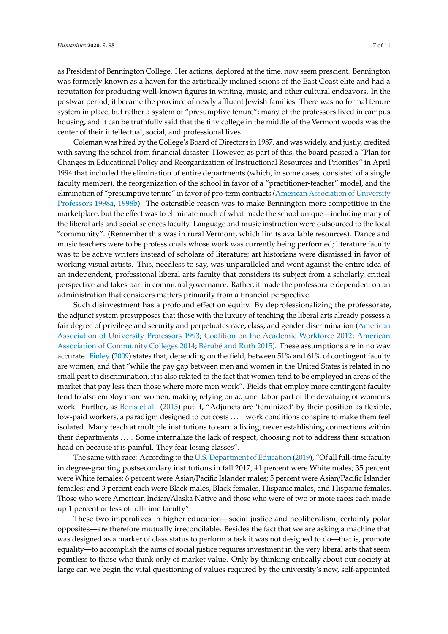as President of Bennington College. Her actions, deplored at the time, now seem prescient. Bennington was formerly known as a haven for the artistically inclined scions of the East Coast elite and had a reputation for producing well-known figures in writing, music, and other cultural endeavors. In the postwar period, it became the province of newly affluent Jewish families. There was no formal tenure system in place, but rather a system of "presumptive tenure"; many of the professors lived in campus housing, and it can be truthfully said that the tiny college in the middle of the Vermont woods was the center of their intellectual, social, and professional lives.

Coleman was hired by the College's Board of Directors in 1987, and was widely, and justly, credited with saving the school from financial disaster. However, as part of this, the board passed a "Plan for Changes in Educational Policy and Reorganization of Instructional Resources and Priorities" in April 1994 that included the elimination of entire departments (which, in some cases, consisted of a single faculty member), the reorganization of the school in favor of a "practitioner-teacher" model, and the elimination of "presumptive tenure" in favor of pro-term contracts [\(American Association of University](#page-11-2) [Professors](#page-11-2) [1998a,](#page-11-2) [1998b\)](#page-11-3). The ostensible reason was to make Bennington more competitive in the marketplace, but the effect was to eliminate much of what made the school unique—including many of the liberal arts and social sciences faculty. Language and music instruction were outsourced to the local "community". (Remember this was in rural Vermont, which limits available resources). Dance and music teachers were to be professionals whose work was currently being performed; literature faculty was to be active writers instead of scholars of literature; art historians were dismissed in favor of working visual artists. This, needless to say, was unparalleled and went against the entire idea of an independent, professional liberal arts faculty that considers its subject from a scholarly, critical perspective and takes part in communal governance. Rather, it made the professorate dependent on an administration that considers matters primarily from a financial perspective.

Such disinvestment has a profound effect on equity. By deprofessionalizing the professorate, the adjunct system presupposes that those with the luxury of teaching the liberal arts already possess a fair degree of privilege and security and perpetuates race, class, and gender discrimination [\(American](#page-11-4) [Association of University Professors](#page-11-4) [1993;](#page-11-4) [Coalition on the Academic Workforce](#page-12-14) [2012;](#page-12-14) [American](#page-11-5) [Association of Community Colleges](#page-11-5) [2014;](#page-11-5) Bérubé [and Ruth](#page-12-15) [2015\)](#page-12-15). These assumptions are in no way accurate. [Finley](#page-12-16) [\(2009\)](#page-12-16) states that, depending on the field, between 51% and 61% of contingent faculty are women, and that "while the pay gap between men and women in the United States is related in no small part to discrimination, it is also related to the fact that women tend to be employed in areas of the market that pay less than those where more men work". Fields that employ more contingent faculty tend to also employ more women, making relying on adjunct labor part of the devaluing of women's work. Further, as [Boris et al.](#page-12-17) [\(2015\)](#page-12-17) put it, "Adjuncts are 'feminized' by their position as flexible, low-paid workers, a paradigm designed to cut costs . . . . work conditions conspire to make them feel isolated. Many teach at multiple institutions to earn a living, never establishing connections within their departments . . . . Some internalize the lack of respect, choosing not to address their situation head on because it is painful. They fear losing classes".

The same with race: According to the [U.S. Department of Education](#page-13-1) [\(2019\)](#page-13-1), "Of all full-time faculty in degree-granting postsecondary institutions in fall 2017, 41 percent were White males; 35 percent were White females; 6 percent were Asian/Pacific Islander males; 5 percent were Asian/Pacific Islander females; and 3 percent each were Black males, Black females, Hispanic males, and Hispanic females. Those who were American Indian/Alaska Native and those who were of two or more races each made up 1 percent or less of full-time faculty".

These two imperatives in higher education—social justice and neoliberalism, certainly polar opposites—are therefore mutually irreconcilable. Besides the fact that we are asking a machine that was designed as a marker of class status to perform a task it was not designed to do—that is, promote equality—to accomplish the aims of social justice requires investment in the very liberal arts that seem pointless to those who think only of market value. Only by thinking critically about our society at large can we begin the vital questioning of values required by the university's new, self-appointed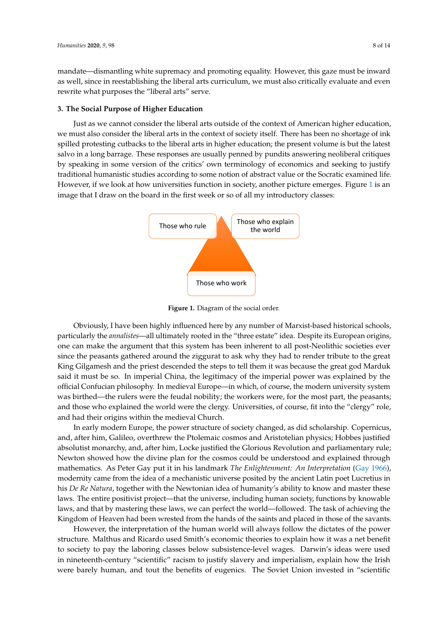mandate—dismantling white supremacy and promoting equality. However, this gaze must be inward as well, since in reestablishing the liberal arts curriculum, we must also critically evaluate and even rewrite what purposes the "liberal arts" serve. inward as well, since in reestablishing the liberal arts curriculum, we must also critically evaluate mandate and manual white supremacy and promoting

### 3. The Social Purpose of Higher Education

Just as we cannot consider the liberal arts outside of the context of American higher education, we must also consider the liberal arts in the context of society itself. There has been no shortage of ink spilled protesting cutbacks to the liberal arts in higher education; the present volume is but the latest spilled protesting cutbacks to the liberal arts in higher education; the present volume is but the latest salvo in a long barrage. These responses are usually penned by pundits answering neoliberal critiques salvo in a long barrage. These responses are usually penned by pundits answering neoliberal critiques by speaking in some version of the critics' own terminology of economics and seeking to justify by speaking in some version of the critics' own terminology of economics and seeking to justify examing an examined the studies according to some notion of abstract value or the Socratic examined life. However, if we look at how universities function in society, another picture emerges. Figure [1](#page-7-0) is an image that I draw on the figure 1 is an image that I draw on the board in the first week or so of all my introductory classes:

<span id="page-7-0"></span>

**Figure 1.** Diagram of the social order. **Figure 1.** Diagram of the social order.

Obviously, I have been highly influenced here by any number of Marxist-based historical Obviously, I have been highly influenced here by any number of Marxist-based historical schools, particularly the *annalistes*—all ultimately rooted in the "three estate" idea. Despite its European origins, one can make the argument that this system has been inherent to all post-Neolithic societies ever since the peasants gathered around the ziggurat to ask why they had to render tribute to the great King Gilgamesh and the priest descended the steps to tell them it was because the great god Marduk said it must be so. In imperial China, the legitimacy of the imperial power was explained by the official Confucian philosophy. In medieval Europe—in which, of course, the modern university system was birthed—the rulers were the feudal nobility; the workers were, for the most part, the peasants; and those who explained the world were the clergy. Universities, of course, fit into the "clergy" role, and had their origins within the medieval Church.

In early modern Europe, the power structure of society changed, as did scholarship. Copernicus, In early modern Europe, the power structure of society changed, as did scholarship. Copernicus, and, after him, Galileo, overthrew the Ptolemaic cosmos and Aristotelian physics; Hobbes justified and, after him, Galileo, overthrew the Ptolemaic cosmos and Aristotelian physics; Hobbes justified absolutist monarchy, and, after him, Locke justified the Glorious Revolution and parliamentary rule; absolutist monarchy, and, after him, Locke justified the Glorious Revolution and parliamentary rule; Newton showed how the divine plan for the cosmos could be understood and explained through Newton showed how the divine plan for the cosmos could be understood and explained through mathematics. As Peter Gay put it in his landmark *The Enlightenment: An Interpretation* ([1966\)](#page-12-18), mathematics. As Peter Gay put it in his landmark *The Enlightenment: An Interpretation* [\(Gay](#page-12-18) 1966), modernity came from the idea of a mechanistic universe posited by the ancient Latin poet Lucretius modernity came from the idea of a mechanistic universe posited by the ancient Latin poet Lucretius in in his *De Re Natura*, together with the Newtonian idea of humanity's ability to know and master these his *De Re Natura*, together with the Newtonian idea of humanity's ability to know and master these laws. The entire positivist project—that the universe, including human society, functions by laws. The entire positivist project—that the universe, including human society, functions by knowable laws, and that by mastering these laws, we can perfect the world—followed. The task of achieving the Kingdom of Heaven had been wrested from the hands of the saints and placed in those of the savants.

However, the interpretation of the human world will always follow the dictates of the power structure. Malthus and Ricardo used Smith's economic theories to explain how it was a net benefit to society to pay the laboring classes below subsistence-level wages. Darwin's ideas were used in nineteenth-century "scientific" racism to justify slavery and imperialism, explain how the Irish were barely human, and tout the benefits of eugenics. The Soviet Union invested in "scientific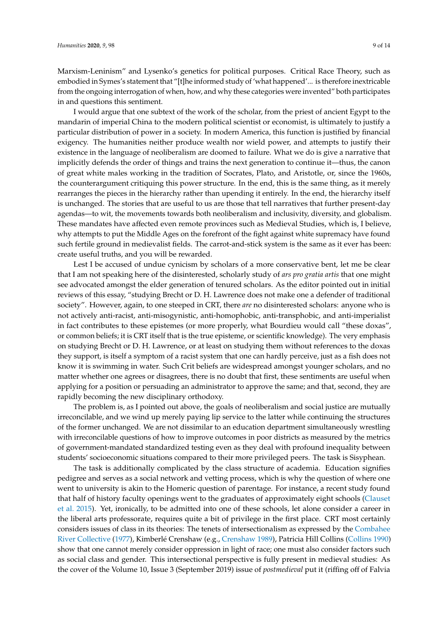Marxism-Leninism" and Lysenko's genetics for political purposes. Critical Race Theory, such as embodied in Symes's statement that "[t]he informed study of 'what happened'... is therefore inextricable from the ongoing interrogation of when, how, and why these categories were invented" both participates in and questions this sentiment.

I would argue that one subtext of the work of the scholar, from the priest of ancient Egypt to the mandarin of imperial China to the modern political scientist or economist, is ultimately to justify a particular distribution of power in a society. In modern America, this function is justified by financial exigency. The humanities neither produce wealth nor wield power, and attempts to justify their existence in the language of neoliberalism are doomed to failure. What we do is give a narrative that implicitly defends the order of things and trains the next generation to continue it—thus, the canon of great white males working in the tradition of Socrates, Plato, and Aristotle, or, since the 1960s, the counterargument critiquing this power structure. In the end, this is the same thing, as it merely rearranges the pieces in the hierarchy rather than upending it entirely. In the end, the hierarchy itself is unchanged. The stories that are useful to us are those that tell narratives that further present-day agendas—to wit, the movements towards both neoliberalism and inclusivity, diversity, and globalism. These mandates have affected even remote provinces such as Medieval Studies, which is, I believe, why attempts to put the Middle Ages on the forefront of the fight against white supremacy have found such fertile ground in medievalist fields. The carrot-and-stick system is the same as it ever has been: create useful truths, and you will be rewarded.

Lest I be accused of undue cynicism by scholars of a more conservative bent, let me be clear that I am not speaking here of the disinterested, scholarly study of *ars pro gratia artis* that one might see advocated amongst the elder generation of tenured scholars. As the editor pointed out in initial reviews of this essay, "studying Brecht or D. H. Lawrence does not make one a defender of traditional society". However, again, to one steeped in CRT, there *are* no disinterested scholars: anyone who is not actively anti-racist, anti-misogynistic, anti-homophobic, anti-transphobic, and anti-imperialist in fact contributes to these epistemes (or more properly, what Bourdieu would call "these doxas", or common beliefs; it is CRT itself that is the true episteme, or scientific knowledge). The very emphasis on studying Brecht or D. H. Lawrence, or at least on studying them without references to the doxas they support, is itself a symptom of a racist system that one can hardly perceive, just as a fish does not know it is swimming in water. Such Crit beliefs are widespread amongst younger scholars, and no matter whether one agrees or disagrees, there is no doubt that first, these sentiments are useful when applying for a position or persuading an administrator to approve the same; and that, second, they are rapidly becoming the new disciplinary orthodoxy.

The problem is, as I pointed out above, the goals of neoliberalism and social justice are mutually irreconcilable, and we wind up merely paying lip service to the latter while continuing the structures of the former unchanged. We are not dissimilar to an education department simultaneously wrestling with irreconcilable questions of how to improve outcomes in poor districts as measured by the metrics of government-mandated standardized testing even as they deal with profound inequality between students' socioeconomic situations compared to their more privileged peers. The task is Sisyphean.

The task is additionally complicated by the class structure of academia. Education signifies pedigree and serves as a social network and vetting process, which is why the question of where one went to university is akin to the Homeric question of parentage. For instance, a recent study found that half of history faculty openings went to the graduates of approximately eight schools [\(Clauset](#page-12-19) [et al.](#page-12-19) [2015\)](#page-12-19). Yet, ironically, to be admitted into one of these schools, let alone consider a career in the liberal arts professorate, requires quite a bit of privilege in the first place. CRT most certainly considers issues of class in its theories: The tenets of intersectionalism as expressed by the [Combahee](#page-12-20) [River Collective](#page-12-20) [\(1977\)](#page-12-20), Kimberlé Crenshaw (e.g., [Crenshaw](#page-12-21) [1989\)](#page-12-21), Patricia Hill Collins [\(Collins](#page-12-22) [1990\)](#page-12-22) show that one cannot merely consider oppression in light of race; one must also consider factors such as social class and gender. This intersectional perspective is fully present in medieval studies: As the cover of the Volume 10, Issue 3 (September 2019) issue of *postmedieval* put it (riffing off of Falvia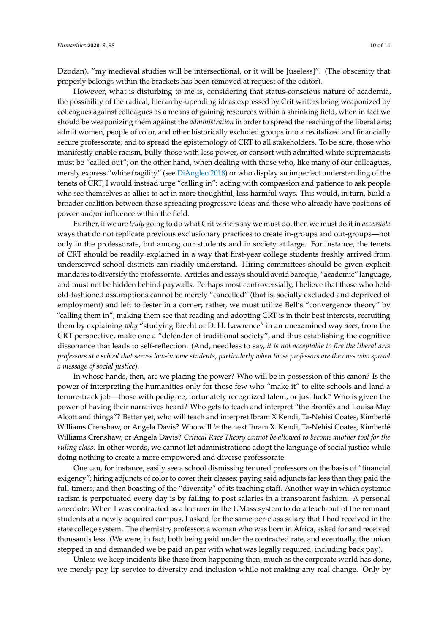Dzodan), "my medieval studies will be intersectional, or it will be [useless]". (The obscenity that properly belongs within the brackets has been removed at request of the editor).

However, what is disturbing to me is, considering that status-conscious nature of academia, the possibility of the radical, hierarchy-upending ideas expressed by Crit writers being weaponized by colleagues against colleagues as a means of gaining resources within a shrinking field, when in fact we should be weaponizing them against the *administration* in order to spread the teaching of the liberal arts; admit women, people of color, and other historically excluded groups into a revitalized and financially secure professorate; and to spread the epistemology of CRT to all stakeholders. To be sure, those who manifestly enable racism, bully those with less power, or consort with admitted white supremacists must be "called out"; on the other hand, when dealing with those who, like many of our colleagues, merely express "white fragility" (see [DiAngleo](#page-12-23) [2018\)](#page-12-23) or who display an imperfect understanding of the tenets of CRT, I would instead urge "calling in": acting with compassion and patience to ask people who see themselves as allies to act in more thoughtful, less harmful ways. This would, in turn, build a broader coalition between those spreading progressive ideas and those who already have positions of power and/or influence within the field.

Further, if we are *truly* going to do what Crit writers say we must do, then we must do it in *accessible* ways that do not replicate previous exclusionary practices to create in-groups and out-groups—not only in the professorate, but among our students and in society at large. For instance, the tenets of CRT should be readily explained in a way that first-year college students freshly arrived from underserved school districts can readily understand. Hiring committees should be given explicit mandates to diversify the professorate. Articles and essays should avoid baroque, "academic" language, and must not be hidden behind paywalls. Perhaps most controversially, I believe that those who hold old-fashioned assumptions cannot be merely "cancelled" (that is, socially excluded and deprived of employment) and left to fester in a corner; rather, we must utilize Bell's "convergence theory" by "calling them in", making them see that reading and adopting CRT is in their best interests, recruiting them by explaining *why* "studying Brecht or D. H. Lawrence" in an unexamined way *does*, from the CRT perspective, make one a "defender of traditional society", and thus establishing the cognitive dissonance that leads to self-reflection. (And, needless to say, *it is not acceptable to fire the liberal arts professors at a school that serves low-income students, particularly when those professors are the ones who spread a message of social justice*).

In whose hands, then, are we placing the power? Who will be in possession of this canon? Is the power of interpreting the humanities only for those few who "make it" to elite schools and land a tenure-track job—those with pedigree, fortunately recognized talent, or just luck? Who is given the power of having their narratives heard? Who gets to teach and interpret "the Brontës and Louisa May Alcott and things"? Better yet, who will teach and interpret Ibram X Kendi, Ta-Nehisi Coates, Kimberlé Williams Crenshaw, or Angela Davis? Who will *be* the next Ibram X. Kendi, Ta-Nehisi Coates, Kimberlé Williams Crenshaw, or Angela Davis? *Critical Race Theory cannot be allowed to become another tool for the ruling class*. In other words, we cannot let administrations adopt the language of social justice while doing nothing to create a more empowered and diverse professorate.

One can, for instance, easily see a school dismissing tenured professors on the basis of "financial exigency"; hiring adjuncts of color to cover their classes; paying said adjuncts far less than they paid the full-timers, and then boasting of the "diversity" of its teaching staff. Another way in which systemic racism is perpetuated every day is by failing to post salaries in a transparent fashion. A personal anecdote: When I was contracted as a lecturer in the UMass system to do a teach-out of the remnant students at a newly acquired campus, I asked for the same per-class salary that I had received in the state college system. The chemistry professor, a woman who was born in Africa, asked for and received thousands less. (We were, in fact, both being paid under the contracted rate, and eventually, the union stepped in and demanded we be paid on par with what was legally required, including back pay).

Unless we keep incidents like these from happening then, much as the corporate world has done, we merely pay lip service to diversity and inclusion while not making any real change. Only by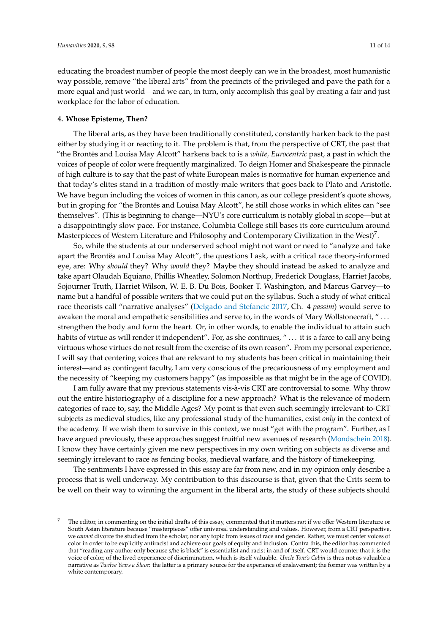educating the broadest number of people the most deeply can we in the broadest, most humanistic way possible, remove "the liberal arts" from the precincts of the privileged and pave the path for a more equal and just world—and we can, in turn, only accomplish this goal by creating a fair and just workplace for the labor of education.

### **4. Whose Episteme, Then?**

The liberal arts, as they have been traditionally constituted, constantly harken back to the past either by studying it or reacting to it. The problem is that, from the perspective of CRT, the past that "the Brontës and Louisa May Alcott" harkens back to is a *white, Eurocentric* past, a past in which the voices of people of color were frequently marginalized. To deign Homer and Shakespeare the pinnacle of high culture is to say that the past of white European males is normative for human experience and that today's elites stand in a tradition of mostly-male writers that goes back to Plato and Aristotle. We have begun including the voices of women in this canon, as our college president's quote shows, but in groping for "the Brontës and Louisa May Alcott", he still chose works in which elites can "see themselves". (This is beginning to change—NYU's core curriculum is notably global in scope—but at a disappointingly slow pace. For instance, Columbia College still bases its core curriculum around Masterpieces of Western Literature and Philosophy and Contemporary Civilization in the West)<sup>7</sup>.

So, while the students at our underserved school might not want or need to "analyze and take apart the Brontës and Louisa May Alcott", the questions I ask, with a critical race theory-informed eye, are: Why *should* they? Why *would* they? Maybe they should instead be asked to analyze and take apart Olaudah Equiano, Phillis Wheatley, Solomon Northup, Frederick Douglass, Harriet Jacobs, Sojourner Truth, Harriet Wilson, W. E. B. Du Bois, Booker T. Washington, and Marcus Garvey—to name but a handful of possible writers that we could put on the syllabus. Such a study of what critical race theorists call "narrative analyses" [\(Delgado and Stefancic](#page-12-13) [2017,](#page-12-13) Ch. 4 *passim*) would serve to awaken the moral and empathetic sensibilities and serve to, in the words of Mary Wollstonecraft, "... strengthen the body and form the heart. Or, in other words, to enable the individual to attain such habits of virtue as will render it independent". For, as she continues, " ... it is a farce to call any being virtuous whose virtues do not result from the exercise of its own reason". From my personal experience, I will say that centering voices that are relevant to my students has been critical in maintaining their interest—and as contingent faculty, I am very conscious of the precariousness of my employment and the necessity of "keeping my customers happy" (as impossible as that might be in the age of COVID).

I am fully aware that my previous statements vis-à-vis CRT are controversial to some. Why throw out the entire historiography of a discipline for a new approach? What is the relevance of modern categories of race to, say, the Middle Ages? My point is that even such seemingly irrelevant-to-CRT subjects as medieval studies, like any professional study of the humanities, exist *only* in the context of the academy. If we wish them to survive in this context, we must "get with the program". Further, as I have argued previously, these approaches suggest fruitful new avenues of research [\(Mondschein](#page-12-7) [2018\)](#page-12-7). I know they have certainly given me new perspectives in my own writing on subjects as diverse and seemingly irrelevant to race as fencing books, medieval warfare, and the history of timekeeping.

The sentiments I have expressed in this essay are far from new, and in my opinion only describe a process that is well underway. My contribution to this discourse is that, given that the Crits seem to be well on their way to winning the argument in the liberal arts, the study of these subjects should

<sup>7</sup> The editor, in commenting on the initial drafts of this essay, commented that it matters not if we offer Western literature or South Asian literature because "masterpieces" offer universal understanding and values. However, from a CRT perspective, we *cannot* divorce the studied from the scholar, nor any topic from issues of race and gender. Rather, we must center voices of color in order to be explicitly antiracist and achieve our goals of equity and inclusion. Contra this, the editor has commented that "reading any author only because s/he is black" is essentialist and racist in and of itself. CRT would counter that it is the voice of color, of the lived experience of discrimination, which is itself valuable. *Uncle Tom's Cabin* is thus not as valuable a narrative as *Twelve Years a Slave*: the latter is a primary source for the experience of enslavement; the former was written by a white contemporary.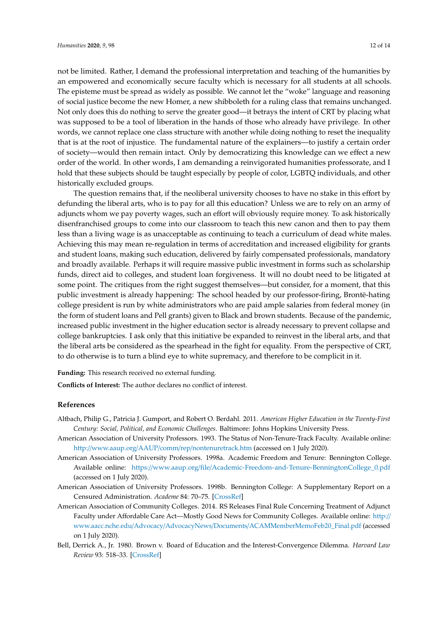not be limited. Rather, I demand the professional interpretation and teaching of the humanities by an empowered and economically secure faculty which is necessary for all students at all schools. The episteme must be spread as widely as possible. We cannot let the "woke" language and reasoning of social justice become the new Homer, a new shibboleth for a ruling class that remains unchanged. Not only does this do nothing to serve the greater good—it betrays the intent of CRT by placing what was supposed to be a tool of liberation in the hands of those who already have privilege. In other words, we cannot replace one class structure with another while doing nothing to reset the inequality that is at the root of injustice. The fundamental nature of the explainers—to justify a certain order of society—would then remain intact. Only by democratizing this knowledge can we effect a new order of the world. In other words, I am demanding a reinvigorated humanities professorate, and I hold that these subjects should be taught especially by people of color, LGBTQ individuals, and other historically excluded groups.

The question remains that, if the neoliberal university chooses to have no stake in this effort by defunding the liberal arts, who is to pay for all this education? Unless we are to rely on an army of adjuncts whom we pay poverty wages, such an effort will obviously require money. To ask historically disenfranchised groups to come into our classroom to teach this new canon and then to pay them less than a living wage is as unacceptable as continuing to teach a curriculum of dead white males. Achieving this may mean re-regulation in terms of accreditation and increased eligibility for grants and student loans, making such education, delivered by fairly compensated professionals, mandatory and broadly available. Perhaps it will require massive public investment in forms such as scholarship funds, direct aid to colleges, and student loan forgiveness. It will no doubt need to be litigated at some point. The critiques from the right suggest themselves—but consider, for a moment, that this public investment is already happening: The school headed by our professor-firing, Brontë-hating college president is run by white administrators who are paid ample salaries from federal money (in the form of student loans and Pell grants) given to Black and brown students. Because of the pandemic, increased public investment in the higher education sector is already necessary to prevent collapse and college bankruptcies. I ask only that this initiative be expanded to reinvest in the liberal arts, and that the liberal arts be considered as the spearhead in the fight for equality. From the perspective of CRT, to do otherwise is to turn a blind eye to white supremacy, and therefore to be complicit in it.

**Funding:** This research received no external funding.

**Conflicts of Interest:** The author declares no conflict of interest.

#### **References**

- <span id="page-11-1"></span>Altbach, Philip G., Patricia J. Gumport, and Robert O. Berdahl. 2011. *American Higher Education in the Twenty-First Century: Social, Political, and Economic Challenges*. Baltimore: Johns Hopkins University Press.
- <span id="page-11-4"></span>American Association of University Professors. 1993. The Status of Non-Tenure-Track Faculty. Available online: http://www.aaup.org/AAUP/comm/rep/[nontenuretrack.htm](http://www.aaup.org/AAUP/comm/rep/nontenuretrack.htm) (accessed on 1 July 2020).
- <span id="page-11-2"></span>American Association of University Professors. 1998a. Academic Freedom and Tenure: Bennington College. Available online: https://www.aaup.org/file/[Academic-Freedom-and-Tenure-BenningtonCollege\\_0.pdf](https://www.aaup.org/file/Academic-Freedom-and-Tenure-BenningtonCollege_0.pdf) (accessed on 1 July 2020).
- <span id="page-11-3"></span>American Association of University Professors. 1998b. Bennington College: A Supplementary Report on a Censured Administration. *Academe* 84: 70–75. [\[CrossRef\]](http://dx.doi.org/10.2307/40252294)
- <span id="page-11-5"></span>American Association of Community Colleges. 2014. RS Releases Final Rule Concerning Treatment of Adjunct Faculty under Affordable Care Act—Mostly Good News for Community Colleges. Available online: [http:](http://www.aacc.nche.edu/Advocacy/AdvocacyNews/Documents/ACAMMemberMemoFeb20_Final.pdf)// www.aacc.nche.edu/Advocacy/AdvocacyNews/Documents/[ACAMMemberMemoFeb20\\_Final.pdf](http://www.aacc.nche.edu/Advocacy/AdvocacyNews/Documents/ACAMMemberMemoFeb20_Final.pdf) (accessed on 1 July 2020).
- <span id="page-11-0"></span>Bell, Derrick A., Jr. 1980. Brown v. Board of Education and the Interest-Convergence Dilemma. *Harvard Law Review* 93: 518–33. [\[CrossRef\]](http://dx.doi.org/10.2307/1340546)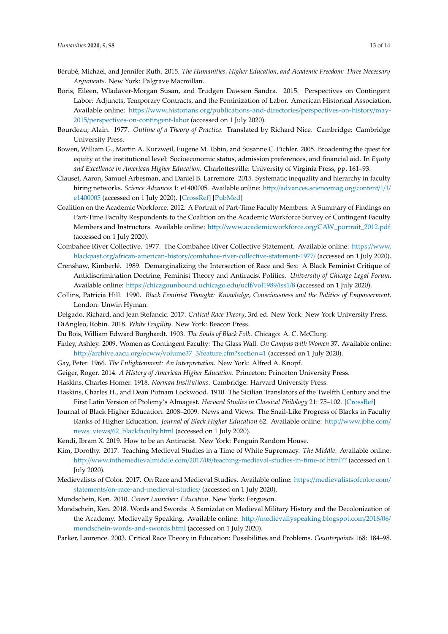- <span id="page-12-15"></span>Bérubé, Michael, and Jennifer Ruth. 2015. *The Humanities, Higher Education, and Academic Freedom: Three Necessary Arguments*. New York: Palgrave Macmillan.
- <span id="page-12-17"></span>Boris, Eileen, Wladaver-Morgan Susan, and Trudgen Dawson Sandra. 2015. Perspectives on Contingent Labor: Adjuncts, Temporary Contracts, and the Feminization of Labor. American Historical Association. Available online: https://www.historians.org/[publications-and-directories](https://www.historians.org/publications-and-directories/perspectives-on-history/may-2015/perspectives-on-contingent-labor)/perspectives-on-history/may-2015/[perspectives-on-contingent-labor](https://www.historians.org/publications-and-directories/perspectives-on-history/may-2015/perspectives-on-contingent-labor) (accessed on 1 July 2020).
- <span id="page-12-0"></span>Bourdeau, Alain. 1977. *Outline of a Theory of Practice*. Translated by Richard Nice. Cambridge: Cambridge University Press.
- <span id="page-12-1"></span>Bowen, William G., Martin A. Kurzweil, Eugene M. Tobin, and Susanne C. Pichler. 2005. Broadening the quest for equity at the institutional level: Socioeconomic status, admission preferences, and financial aid. In *Equity and Excellence in American Higher Education*. Charlottesville: University of Virginia Press, pp. 161–93.
- <span id="page-12-19"></span>Clauset, Aaron, Samuel Arbesman, and Daniel B. Larremore. 2015. Systematic inequality and hierarchy in faculty hiring networks. *Science Advances* 1: e1400005. Available online: http://[advances.sciencemag.org](http://advances.sciencemag.org/content/1/1/e1400005)/content/1/1/ [e1400005](http://advances.sciencemag.org/content/1/1/e1400005) (accessed on 1 July 2020). [\[CrossRef\]](http://dx.doi.org/10.1126/sciadv.1400005) [\[PubMed\]](http://www.ncbi.nlm.nih.gov/pubmed/26601125)
- <span id="page-12-14"></span>Coalition on the Academic Workforce. 2012. A Portrait of Part-Time Faculty Members: A Summary of Findings on Part-Time Faculty Respondents to the Coalition on the Academic Workforce Survey of Contingent Faculty Members and Instructors. Available online: http://[www.academicworkforce.org](http://www.academicworkforce.org/CAW_portrait_2012.pdf)/CAW\_portrait\_2012.pdf (accessed on 1 July 2020).
- <span id="page-12-20"></span>Combahee River Collective. 1977. The Combahee River Collective Statement. Available online: https://[www.](https://www.blackpast.org/african-american-history/combahee-river-collective-statement-1977/) blackpast.org/african-american-history/[combahee-river-collective-statement-1977](https://www.blackpast.org/african-american-history/combahee-river-collective-statement-1977/)/ (accessed on 1 July 2020).
- <span id="page-12-21"></span>Crenshaw, Kimberlé. 1989. Demarginalizing the Intersection of Race and Sex: A Black Feminist Critique of Antidiscrimination Doctrine, Feminist Theory and Antiracist Politics. *University of Chicago Legal Forum*. Available online: https://[chicagounbound.uchicago.edu](https://chicagounbound.uchicago.edu/uclf/vol1989/iss1/8)/uclf/vol1989/iss1/8 (accessed on 1 July 2020).
- <span id="page-12-22"></span>Collins, Patricia Hill. 1990. *Black Feminist Thought: Knowledge, Consciousness and the Politics of Empowerment*. London: Unwin Hyman.
- <span id="page-12-23"></span><span id="page-12-13"></span>Delgado, Richard, and Jean Stefancic. 2017. *Critical Race Theory*, 3rd ed. New York: New York University Press. DiAngleo, Robin. 2018. *White Fragility*. New York: Beacon Press.
- <span id="page-12-4"></span>Du Bois, William Edward Burghardt. 1903. *The Souls of Black Folk*. Chicago: A. C. McClurg.
- <span id="page-12-16"></span>Finley, Ashley. 2009. Women as Contingent Faculty: The Glass Wall. *On Campus with Women* 37. Available online: http://archive.aacu.org/ocww/volume37\_3/[feature.cfm?section](http://archive.aacu.org/ocww/volume37_3/feature.cfm?section=1)=1 (accessed on 1 July 2020).
- <span id="page-12-18"></span>Gay, Peter. 1966. *The Enlightenment: An Interpretation*. New York: Alfred A. Knopf.
- <span id="page-12-11"></span><span id="page-12-9"></span>Geiger, Roger. 2014. *A History of American Higher Education*. Princeton: Princeton University Press.
- Haskins, Charles Homer. 1918. *Norman Institutions*. Cambridge: Harvard University Press.
- <span id="page-12-8"></span>Haskins, Charles H., and Dean Putnam Lockwood. 1910. The Sicilian Translators of the Twelfth Century and the First Latin Version of Ptolemy's Almagest. *Harvard Studies in Classical Philology* 21: 75–102. [\[CrossRef\]](http://dx.doi.org/10.2307/310505)
- <span id="page-12-12"></span>Journal of Black Higher Education. 2008–2009. News and Views: The Snail-Like Progress of Blacks in Faculty Ranks of Higher Education. *Journal of Black Higher Education* 62. Available online: http://[www.jbhe.com](http://www.jbhe.com/news_views/62_blackfaculty.html)/ news\_views/[62\\_blackfaculty.html](http://www.jbhe.com/news_views/62_blackfaculty.html) (accessed on 1 July 2020).
- <span id="page-12-2"></span>Kendi, Ibram X. 2019. How to be an Antiracist. New York: Penguin Random House.
- <span id="page-12-6"></span>Kim, Dorothy. 2017. Teaching Medieval Studies in a Time of White Supremacy. *The Middle*. Available online: http://www.inthemedievalmiddle.com/2017/08/[teaching-medieval-studies-in-time-of.html??](http://www.inthemedievalmiddle.com/2017/08/teaching-medieval-studies-in-time-of.html??) (accessed on 1 July 2020).
- <span id="page-12-5"></span>Medievalists of Color. 2017. On Race and Medieval Studies. Available online: https://[medievalistsofcolor.com](https://medievalistsofcolor.com/statements/on-race-and-medieval-studies/)/ statements/[on-race-and-medieval-studies](https://medievalistsofcolor.com/statements/on-race-and-medieval-studies/)/ (accessed on 1 July 2020).
- <span id="page-12-10"></span>Mondschein, Ken. 2010. *Career Launcher: Education*. New York: Ferguson.
- <span id="page-12-7"></span>Mondschein, Ken. 2018. Words and Swords: A Samizdat on Medieval Military History and the Decolonization of the Academy. Medievally Speaking. Available online: http://[medievallyspeaking.blogspot.com](http://medievallyspeaking.blogspot.com/2018/06/mondschein-words-and-swords.html)/2018/06/ [mondschein-words-and-swords.html](http://medievallyspeaking.blogspot.com/2018/06/mondschein-words-and-swords.html) (accessed on 1 July 2020).
- <span id="page-12-3"></span>Parker, Laurence. 2003. Critical Race Theory in Education: Possibilities and Problems. *Counterpoints* 168: 184–98.